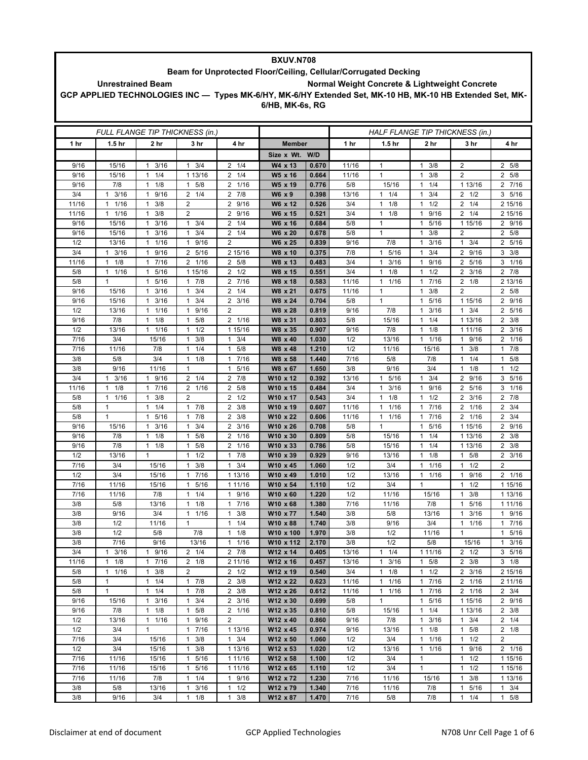| <b>BXUV.N708</b>                                                                                                                                                                      |                      |                                             |                                     |                                                 |                      |                |                                 |                          |                                              |                                   |                       |  |
|---------------------------------------------------------------------------------------------------------------------------------------------------------------------------------------|----------------------|---------------------------------------------|-------------------------------------|-------------------------------------------------|----------------------|----------------|---------------------------------|--------------------------|----------------------------------------------|-----------------------------------|-----------------------|--|
| Beam for Unprotected Floor/Ceiling, Cellular/Corrugated Decking                                                                                                                       |                      |                                             |                                     |                                                 |                      |                |                                 |                          |                                              |                                   |                       |  |
| Normal Weight Concrete & Lightweight Concrete<br><b>Unrestrained Beam</b><br>GCP APPLIED TECHNOLOGIES INC - Types MK-6/HY, MK-6/HY Extended Set, MK-10 HB, MK-10 HB Extended Set, MK- |                      |                                             |                                     |                                                 |                      |                |                                 |                          |                                              |                                   |                       |  |
|                                                                                                                                                                                       |                      |                                             |                                     |                                                 |                      |                |                                 |                          |                                              |                                   |                       |  |
|                                                                                                                                                                                       |                      |                                             |                                     |                                                 | 6/HB, MK-6s, RG      |                |                                 |                          |                                              |                                   |                       |  |
|                                                                                                                                                                                       |                      |                                             |                                     |                                                 |                      |                |                                 |                          |                                              |                                   |                       |  |
|                                                                                                                                                                                       |                      |                                             |                                     |                                                 |                      |                |                                 |                          |                                              |                                   |                       |  |
|                                                                                                                                                                                       |                      |                                             | FULL FLANGE TIP THICKNESS (in.)     |                                                 |                      |                | HALF FLANGE TIP THICKNESS (in.) |                          |                                              |                                   |                       |  |
| 1 hr                                                                                                                                                                                  | 1.5 <sub>hr</sub>    | 2 hr                                        | 3 hr                                | 4 hr                                            | <b>Member</b>        |                | 1 hr                            | 1.5 <sub>hr</sub>        | 2 hr                                         | 3 hr                              | 4 hr                  |  |
|                                                                                                                                                                                       |                      |                                             |                                     |                                                 | Size x Wt. W/D       |                |                                 |                          |                                              |                                   |                       |  |
| 9/16                                                                                                                                                                                  | 15/16                | 3/16<br>$\mathbf{1}$                        | $1 \t3/4$                           | 1/4<br>$\overline{2}$                           | W4 x 13              | 0.670          | 11/16                           | $\mathbf{1}$             | 3/8<br>$\mathbf{1}$                          | $\overline{2}$                    | 2 5/8                 |  |
| 9/16                                                                                                                                                                                  | 15/16                | 1/4<br>$\mathbf{1}$                         | 1 13/16                             | 1/4<br>2                                        | W5 x 16              | 0.664          | 11/16                           | $\mathbf{1}$             | 3/8<br>$\mathbf{1}$                          | $\overline{2}$                    | 2 5/8                 |  |
| 9/16                                                                                                                                                                                  | 7/8                  | 1/8<br>1                                    | 5/8<br>1                            | $\overline{2}$<br>1/16                          | W5 x 19              | 0.776          | 5/8                             | 15/16                    | 1/4<br>$\mathbf{1}$                          | 1 13/16                           | 2 7/16                |  |
| 3/4                                                                                                                                                                                   | 3/16<br>$\mathbf{1}$ | 9/16<br>$\mathbf{1}$                        | $2 \frac{1}{4}$                     | $2 \t 7/8$                                      | W6 x 9               | 0.398          | 13/16                           | 1/4<br>$\mathbf{1}$      | 3/4<br>$\mathbf{1}$                          | $\overline{2}$<br>1/2             | 3 5/16                |  |
| 11/16                                                                                                                                                                                 | 1/16<br>$\mathbf{1}$ | 3/8<br>$\mathbf{1}$                         | $\overline{2}$                      | 9/16<br>$\overline{2}$                          | W6 x 12              | 0.526          | 3/4                             | 1/8<br>$\mathbf{1}$      | $1 \t1/2$                                    | 2<br>1/4                          | 2 15/16               |  |
| 11/16                                                                                                                                                                                 | $\mathbf{1}$<br>1/16 | 3/8<br>$\mathbf{1}$<br>3/16<br>$\mathbf{1}$ | 2<br>3/4<br>$\mathbf{1}$            | $\overline{2}$<br>9/16<br>1/4<br>$\overline{2}$ | W6 x 15              | 0.521<br>0.684 | 3/4                             | $\mathbf{1}$<br>1/8<br>1 | $\mathbf{1}$<br>9/16<br>5/16<br>$\mathbf{1}$ | $\overline{2}$<br>1/4             | 2 15/16               |  |
| 9/16<br>9/16                                                                                                                                                                          | 15/16<br>15/16       | 3/16<br>$\mathbf{1}$                        | 3/4<br>1                            | 1/4<br>2                                        | W6 x 16<br>W6 x 20   | 0.678          | 5/8<br>5/8                      | $\mathbf{1}$             | 3/8<br>$\mathbf{1}$                          | 1 15/16<br>$\overline{2}$         | 2 9/16<br>5/8<br>2    |  |
| 1/2                                                                                                                                                                                   | 13/16                | 1/16<br>$\mathbf{1}$                        | 9/16<br>$\mathbf{1}$                | $\overline{2}$                                  | W6 x 25              | 0.839          | 9/16                            | 7/8                      | $\mathbf{1}$<br>3/16                         | $\mathbf{1}$<br>3/4               | 2 5/16                |  |
| 3/4                                                                                                                                                                                   | $1 \t3/16$           | 9/16<br>$\mathbf{1}$                        | 2 5/16                              | 2 15/16                                         | W8 x 10              | 0.375          | 7/8                             | 5/16<br>1                | 3/4<br>$\mathbf{1}$                          | 2 9/16                            | $3 \frac{3}{8}$       |  |
| 11/16                                                                                                                                                                                 | 1/8<br>$\mathbf{1}$  | 7/16<br>$\mathbf{1}$                        | 2 1/16                              | 5/8<br>$\overline{2}$                           | W8 x 13              | 0.483          | 3/4                             | 3/16<br>1                | 9/16<br>$\mathbf{1}$                         | 2<br>5/16                         | 3<br>1/16             |  |
| 5/8                                                                                                                                                                                   | 1/16<br>$\mathbf{1}$ | 5/16<br>$\mathbf{1}$                        | 1 15/16                             | $\overline{2}$<br>1/2                           | W8 x 15              | 0.551          | 3/4                             | 1/8<br>$\mathbf{1}$      | 1/2<br>$\mathbf{1}$                          | $\overline{2}$<br>3/16            | 2 7/8                 |  |
| 5/8                                                                                                                                                                                   | $\mathbf{1}$         | 5/16<br>$\mathbf{1}$                        | 17/8                                | 2 7/16                                          | W8 x 18              | 0.583          | 11/16                           | $1 \t1/16$               | 17/16                                        | $2 \t1/8$                         | 2 13/16               |  |
| 9/16                                                                                                                                                                                  | 15/16                | 3/16<br>1                                   | 3/4<br>1                            | $\overline{2}$<br>1/4                           | W8 x 21              | 0.675          | 11/16                           | $\mathbf{1}$             | 3/8<br>$\mathbf{1}$                          | $\overline{2}$                    | 2 5/8                 |  |
| 9/16                                                                                                                                                                                  | 15/16                | 3/16<br>$\mathbf{1}$                        | 3/4<br>$\mathbf{1}$                 | $\overline{2}$<br>3/16                          | W8 x 24              | 0.704          | 5/8                             | $\mathbf{1}$             | 5/16<br>$\mathbf{1}$                         | 1 15/16                           | 2 9/16                |  |
| 1/2                                                                                                                                                                                   | 13/16                | 11/16                                       | $\mathbf{1}$<br>9/16                | $\overline{2}$                                  | W8 x 28              | 0.819          | 9/16                            | 7/8                      | $\mathbf{1}$<br>3/16                         | $1 \t3/4$                         | 2 5/16                |  |
| 9/16                                                                                                                                                                                  | 7/8                  | 1/8<br>1                                    | 5/8<br>1                            | $\mathbf{2}^{\circ}$<br>1/16                    | W8 x 31              | 0.803          | 5/8                             | 15/16                    | 1/4<br>$\mathbf{1}$                          | 1 13/16                           | 2<br>3/8              |  |
| 1/2                                                                                                                                                                                   | 13/16                | 1/16<br>$\mathbf{1}$                        | 1/2<br>$\mathbf{1}$                 | 1 15/16                                         | W8 x 35              | 0.907          | 9/16                            | 7/8                      | 1/8<br>$\mathbf{1}$                          | 1 11/16                           | $2 \frac{3}{16}$      |  |
| 7/16                                                                                                                                                                                  | 3/4                  | 15/16                                       | 3/8<br>$\mathbf{1}$                 | 3/4<br>1                                        | W8 x 40              | 1.030          | 1/2                             | 13/16                    | $1 \t1/16$                                   | 9/16<br>1                         | 2 1/16                |  |
| 7/16                                                                                                                                                                                  | 11/16                | 7/8                                         | 1/4<br>1                            | 5/8<br>$\mathbf{1}$                             | W8 x 48              | 1.210          | 1/2                             | 11/16                    | 15/16                                        | 3/8<br>1                          | 7/8<br>1              |  |
| 3/8<br>3/8                                                                                                                                                                            | 5/8<br>9/16          | 3/4<br>11/16                                | 1/8<br>$\mathbf{1}$<br>$\mathbf{1}$ | 7/16<br>$\mathbf{1}$<br>5/16<br>$\mathbf{1}$    | W8 x 58<br>W8 x 67   | 1.440<br>1.650 | 7/16<br>3/8                     | 5/8<br>9/16              | 7/8<br>3/4                                   | 1/4<br>1<br>1/8<br>1              | 5/8<br>1<br>1/2       |  |
| 3/4                                                                                                                                                                                   | 3/16<br>$\mathbf{1}$ | 1 9/16                                      | $2 \t1/4$                           | 7/8<br>$\overline{2}$                           | W10 x 12             | 0.392          | 13/16                           | 5/16<br>$\mathbf{1}$     | 3/4<br>$\mathbf{1}$                          | 2 9/16                            | 3 5/16                |  |
| 11/16                                                                                                                                                                                 | 1/8<br>$\mathbf{1}$  | 7/16<br>$\mathbf{1}$                        | 2 1/16                              | $\overline{2}$<br>5/8                           | W10 x 15             | 0.484          | 3/4                             | 3/16<br>$\mathbf{1}$     | 1 9/16                                       | 5/16<br>2                         | 3 1/16                |  |
| 5/8                                                                                                                                                                                   | $\mathbf{1}$<br>1/16 | 3/8<br>1                                    | $\overline{2}$                      | $\overline{2}$<br>1/2                           | W10 x 17             | 0.543          | 3/4                             | 1/8<br>1                 | 1/2<br>$\mathbf{1}$                          | 2<br>3/16                         | $\overline{2}$<br>7/8 |  |
| 5/8                                                                                                                                                                                   | $\mathbf{1}$         | 1/4<br>$\mathbf{1}$                         | 17/8                                | 3/8<br>$\overline{2}$                           | W10 x 19             | 0.607          | 11/16                           | 1/16<br>1                | 7/16<br>$\mathbf{1}$                         | $\overline{2}$<br>1/16            | $2 \frac{3}{4}$       |  |
| 5/8                                                                                                                                                                                   | $\mathbf{1}$         | 5/16<br>$\mathbf{1}$                        | 7/8<br>$\mathbf{1}$                 | 3/8<br>$\overline{2}$                           | W10 x 22             | 0.606          | 11/16                           | 1/16<br>1                | 17/16                                        | 1/16<br>2                         | $2 \frac{3}{4}$       |  |
| 9/16                                                                                                                                                                                  | 15/16                | 3/16<br>1                                   | 3/4<br>1                            | 3/16<br>$\overline{2}$                          | W10 x 26             | 0.708          | 5/8                             | 1                        | 5/16<br>$\mathbf{1}$                         | 1 15/16                           | 2 9/16                |  |
| 9/16                                                                                                                                                                                  | 7/8                  | 1/8<br>$\mathbf{1}$                         | 5/8<br>1                            | $\overline{2}$<br>1/16                          | W10 x 30             | 0.809          | 5/8                             | 15/16                    | 1/4<br>$\mathbf{1}$                          | 1 13/16                           | $2 \frac{3}{8}$       |  |
| 9/16                                                                                                                                                                                  | 7/8                  | 1/8<br>$\mathbf{1}$                         | 5/8<br>1                            | 1/16<br>2                                       | W10 x 33             | 0.786          | 5/8                             | 15/16                    | 1/4<br>1                                     | 1 13/16                           | $2 \frac{3}{8}$       |  |
| 1/2                                                                                                                                                                                   | 13/16                | 1                                           | 1/2<br>1                            | 7/8<br>$\mathbf{1}$                             | W10 x 39             | 0.929          | 9/16                            | 13/16                    | $\mathbf{1}$<br>1/8                          | 1<br>5/8                          | $2 \frac{3}{16}$      |  |
| 7/16                                                                                                                                                                                  | 3/4                  | 15/16                                       | 3/8<br>1                            | 3/4<br>$\mathbf{1}$                             | W10 x 45             | 1.060          | 1/2                             | 3/4                      | 1/16<br>$\mathbf{1}$                         | 1/2<br>1                          | 2                     |  |
| 1/2                                                                                                                                                                                   | 3/4                  | 15/16                                       | 7/16<br>1                           | 1 13/16                                         | W10 x 49             | 1.010          | 1/2                             | 13/16                    | 1/16<br>$\mathbf{1}$                         | 9/16<br>1                         | 2 1/16                |  |
| 7/16                                                                                                                                                                                  | 11/16                | 15/16                                       | 5/16<br>1                           | 1 11/16                                         | W10 x 54             | 1.110          | 1/2                             | 3/4                      | 1                                            | 1/2<br>1                          | 1 15/16               |  |
| 7/16                                                                                                                                                                                  | 11/16                | 7/8                                         | $1 \t1/4$                           | 1 9/16                                          | W10 x 60             | 1.220          | 1/2                             | 11/16                    | 15/16                                        | $1 \t3/8$                         | 1 13/16               |  |
| 3/8<br>3/8                                                                                                                                                                            | 5/8<br>9/16          | 13/16<br>3/4                                | 1/8<br>1<br>11/16                   | 7/16<br>$\mathbf{1}$<br>3/8<br>$\mathbf{1}$     | W10 x 68<br>W10 x 77 | 1.380<br>1.540 | 7/16<br>3/8                     | 11/16<br>5/8             | 7/8<br>13/16                                 | 5/16<br>1<br>3/16<br>$\mathbf{1}$ | 1 11/16<br>1 9/16     |  |
| 3/8                                                                                                                                                                                   | 1/2                  | 11/16                                       | 1                                   | $1 \t1/4$                                       | W10 x 88             | 1.740          | 3/8                             | 9/16                     | 3/4                                          | $1 \t1/16$                        | 17/16                 |  |
| 3/8                                                                                                                                                                                   | 1/2                  | 5/8                                         | 7/8                                 | 1/8<br>$\mathbf{1}$                             | W10 x 100            | 1.970          | 3/8                             | 1/2                      | 11/16                                        | 1                                 | 5/16<br>1             |  |
| 3/8                                                                                                                                                                                   | 7/16                 | 9/16                                        | 13/16                               | 1/16<br>$\mathbf{1}$                            | W10 x 112            | 2.170          | 3/8                             | 1/2                      | 5/8                                          | 15/16                             | 3/16<br>$\mathbf{1}$  |  |
| 3/4                                                                                                                                                                                   | $1 \t3/16$           | 1 9/16                                      | $2 \t1/4$                           | $2 \t 7/8$                                      | W12 x 14             | 0.405          | 13/16                           | $1 \t1/4$                | 1 11/16                                      | $2 \frac{1}{2}$                   | 3 5/16                |  |
| 11/16                                                                                                                                                                                 | 1/8<br>$\mathbf{1}$  | 7/16<br>$\mathbf{1}$                        | $2 \frac{1}{8}$                     | 2 11/16                                         | W12 x 16             | 0.457          | 13/16                           | 3/16<br>1                | $1 \t5/8$                                    | $2 \frac{3}{8}$                   | $3 \t1/8$             |  |
| 5/8                                                                                                                                                                                   | 1/16<br>$\mathbf{1}$ | 3/8<br>$\mathbf{1}$                         | $\overline{2}$                      | $2 \frac{1}{2}$                                 | W12 x 19             | 0.540          | 3/4                             | $1 \t1/8$                | $1 \t1/2$                                    | $2 \frac{3}{16}$                  | 2 15/16               |  |
| 5/8                                                                                                                                                                                   | $\mathbf{1}$         | $1 \t1/4$                                   | $1 \t7/8$                           | $2 \frac{3}{8}$                                 | W12 x 22             | 0.623          | 11/16                           | 11/16                    | 17/16                                        | 2 1/16                            | 2 11/16               |  |
| 5/8                                                                                                                                                                                   | $\mathbf{1}$         | 1/4<br>$\mathbf{1}$                         | $1 \t7/8$                           | $2 \frac{3}{8}$                                 | W12 x 26             | 0.612          | 11/16                           | $1 \t1/16$               | 17/16                                        | 2 1/16                            | $2 \frac{3}{4}$       |  |
| 9/16                                                                                                                                                                                  | 15/16                | 3/16<br>$\mathbf{1}$                        | 3/4<br>$\mathbf{1}$                 | $2 \frac{3}{16}$                                | W12 x 30             | 0.699          | 5/8                             | $\mathbf{1}$             | 1 5/16                                       | 1 15/16                           | 2 9/16                |  |
| 9/16                                                                                                                                                                                  | 7/8                  | 1<br>1/8                                    | $\mathbf{1}$<br>5/8                 | $2 \t1/16$                                      | W12 x 35             | 0.810          | 5/8                             | 15/16                    | $1 \t1/4$                                    | 1 13/16                           | $2 \frac{3}{8}$       |  |
| 1/2                                                                                                                                                                                   | 13/16                | $1 \t1/16$                                  | 1 9/16                              | $\overline{2}$                                  | W12 x 40             | 0.860          | 9/16                            | 7/8                      | $1 \t3/16$                                   | $1 \t3/4$                         | $2 \t1/4$             |  |
| 1/2                                                                                                                                                                                   | 3/4                  | $\mathbf{1}$                                | 17/16                               | 1 13/16                                         | W12 x 45             | 0.974          | 9/16                            | 13/16                    | $1 \t1/8$                                    | 5/8<br>1                          | $2 \t1/8$             |  |
| 7/16<br>1/2                                                                                                                                                                           | 3/4<br>3/4           | 15/16<br>15/16                              | 3/8<br>1<br>3/8<br>1                | 3/4<br>$\mathbf{1}$<br>1 13/16                  | W12 x 50<br>W12 x 53 | 1.060<br>1.020 | 1/2<br>1/2                      | 3/4<br>13/16             | 1<br>1/16<br>$1 \t1/16$                      | 1/2<br>1<br>9/16<br>$\mathbf{1}$  | 2<br>2 1/16           |  |
| 7/16                                                                                                                                                                                  | 11/16                | 15/16                                       | 5/16<br>$\mathbf{1}$                | 1 11/16                                         | W12 x 58             | 1.100          | 1/2                             | 3/4                      | $\mathbf{1}$                                 | 1/2<br>1                          | 1 15/16               |  |
| 7/16                                                                                                                                                                                  | 11/16                | 15/16                                       | 5/16<br>$\mathbf{1}$                | 1 11/16                                         | W12 x 65             | 1.110          | 1/2                             | 3/4                      | $\mathbf{1}$                                 | 1<br>1/2                          | 1 15/16               |  |
| 7/16                                                                                                                                                                                  | 11/16                | 7/8                                         | 1/4<br>$\mathbf{1}$                 | 1 9/16                                          | W12 x 72             | 1.230          | 7/16                            | 11/16                    | 15/16                                        | 3/8<br>1                          | 1 13/16               |  |
| 3/8                                                                                                                                                                                   | 5/8                  | 13/16                                       | 3/16<br>$\mathbf{1}$                | $\mathbf{1}$<br>1/2                             | W12 x 79             | 1.340          | 7/16                            | 11/16                    | 7/8                                          | 5/16<br>$\mathbf{1}$              | $1 \t3/4$             |  |
| 3/8                                                                                                                                                                                   | 9/16                 | 3/4                                         | 1/8<br>$\mathbf{1}$                 | $\mathbf{1}$<br>3/8                             | W12 x 87             | 1.470          | 7/16                            | 5/8                      | 7/8                                          | $1 \t1/4$                         | $1 \t5/8$             |  |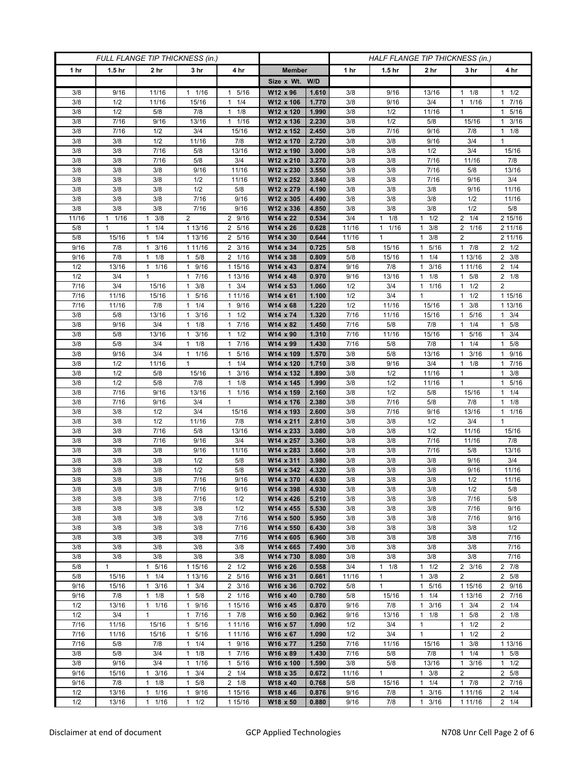| FULL FLANGE TIP THICKNESS (in.) |                   |                                   |                        |                                            | HALF FLANGE TIP THICKNESS (in.) |                |            |                   |                                             |                      |                        |
|---------------------------------|-------------------|-----------------------------------|------------------------|--------------------------------------------|---------------------------------|----------------|------------|-------------------|---------------------------------------------|----------------------|------------------------|
| 1 hr                            | 1.5 <sub>hr</sub> | 2 <sub>hr</sub>                   | 3 <sub>hr</sub>        | 4 hr                                       | <b>Member</b>                   |                | 1 hr       | 1.5 <sub>hr</sub> | 2 hr                                        | 3 hr                 | 4 hr                   |
|                                 |                   |                                   |                        |                                            | Size x Wt. W/D                  |                |            |                   |                                             |                      |                        |
| 3/8                             | 9/16              | 11/16                             | 1/16<br>1              | 5/16<br>1                                  | W12 x 96                        | 1.610          | 3/8        | 9/16              | 13/16                                       | 1/8<br>1             | $1 \t1/2$              |
| 3/8                             | 1/2               | 11/16                             | 15/16                  | 1/4<br>$\mathbf{1}$                        | W12 x 106                       | 1.770          | 3/8        | 9/16              | 3/4                                         | 1/16<br>$\mathbf{1}$ | 1 7/16                 |
| 3/8                             | 1/2               | 5/8                               | 7/8                    | 1/8<br>$\mathbf{1}$                        | W12 x 120                       | 1.990          | 3/8        | 1/2               | 11/16                                       | $\mathbf{1}$         | 1 5/16                 |
| 3/8                             | 7/16              | 9/16                              | 13/16                  | 1/16<br>$\mathbf{1}$                       | W12 x 136                       | 2.230          | 3/8        | 1/2               | 5/8                                         | 15/16                | 3/16<br>1.             |
| 3/8                             | 7/16              | 1/2                               | 3/4                    | 15/16                                      | W12 x 152                       | 2.450          | 3/8        | 7/16              | 9/16                                        | 7/8                  | $1 \t1/8$              |
| 3/8                             | 3/8               | 1/2                               | 11/16                  | 7/8                                        | W12 x 170                       | 2.720          | 3/8        | 3/8               | 9/16                                        | 3/4                  | $\mathbf{1}$           |
| 3/8                             | 3/8               | 7/16                              | 5/8                    | 13/16                                      | W12 x 190                       | 3.000          | 3/8        | 3/8               | 1/2                                         | 3/4                  | 15/16                  |
| 3/8                             | 3/8               | 7/16                              | 5/8                    | 3/4                                        | W12 x 210                       | 3.270          | 3/8        | 3/8               | 7/16                                        | 11/16                | 7/8                    |
| 3/8                             | 3/8               | 3/8                               | 9/16                   | 11/16                                      | W12 x 230                       | 3.550          | 3/8        | 3/8               | 7/16                                        | 5/8                  | 13/16                  |
| 3/8                             | 3/8               | 3/8                               | 1/2                    | 11/16                                      | W12 x 252                       | 3.840          | 3/8        | 3/8               | 7/16                                        | 9/16                 | 3/4                    |
| 3/8                             | 3/8               | 3/8                               | 1/2                    | 5/8                                        | W12 x 279                       | 4.190          | 3/8        | 3/8               | 3/8                                         | 9/16                 | 11/16                  |
| 3/8                             | 3/8               | 3/8                               | 7/16                   | 9/16                                       | W12 x 305                       | 4.490          | 3/8        | 3/8               | 3/8                                         | 1/2                  | 11/16                  |
| 3/8<br>11/16                    | 3/8<br>1/16<br>1  | 3/8<br>3/8<br>$\mathbf{1}$        | 7/16<br>$\overline{2}$ | 9/16<br>2 9/16                             | W12 x 336                       | 4.850<br>0.534 | 3/8<br>3/4 | 3/8<br>$1 \t1/8$  | 3/8<br>1/2<br>1                             | 1/2<br>$2 \t1/4$     | 5/8<br>2 15/16         |
| 5/8                             | 1                 | 1/4<br>1                          | 1 13/16                | 2<br>5/16                                  | W14 x 22<br>W14 x 26            | 0.628          | 11/16      | $1 \t1/16$        | 3/8<br>$\mathbf{1}$                         | 2 1/16               | 2 11/16                |
| 5/8                             | 15/16             | 1/4<br>$\mathbf{1}$               | 1 13/16                | $\overline{2}$<br>5/16                     | W14 x 30                        | 0.644          | 11/16      | $\mathbf{1}$      | 3/8<br>$\mathbf{1}$                         | $\overline{2}$       | 2 11/16                |
| 9/16                            | 7/8               | 3/16<br>$\mathbf{1}$              | 1 11/16                | 3/16<br>2                                  | W14 x 34                        | 0.725          | 5/8        | 15/16             | 5/16<br>1                                   | 17/8                 | $2 \frac{1}{2}$        |
| 9/16                            | 7/8               | 1/8<br>$\mathbf{1}$               | $1 \t5/8$              | 2 1/16                                     | W14 x 38                        | 0.809          | 5/8        | 15/16             | 1/4<br>$\mathbf{1}$                         | 1 13/16              | $2 \frac{3}{8}$        |
| 1/2                             | 13/16             | $1 \t1/16$                        | 1 9/16                 | 1 15/16                                    | W14 x 43                        | 0.874          | 9/16       | 7/8               | 3/16<br>$\mathbf{1}$                        | 1 1 1 / 16           | $2 \t1/4$              |
| 1/2                             | 3/4               | $\mathbf{1}$                      | 7/16<br>$\mathbf{1}$   | 1 13/16                                    | W14 x 48                        | 0.970          | 9/16       | 13/16             | 1/8<br>$\mathbf{1}$                         | 5/8<br>1             | $2 \t1/8$              |
| $\frac{1}{7}$ /16               | 3/4               | 15/16                             | 3/8<br>$\mathbf{1}$    | 3/4<br>$\mathbf{1}$                        | W14 x 53                        | 1.060          | 1/2        | 3/4               | 1/16<br>$\mathbf{1}$                        | 1/2<br>$\mathbf{1}$  | $\overline{2}$         |
| 7/16                            | 11/16             | 15/16                             | 5/16<br>$\mathbf{1}$   | 1 11/16                                    | W14 x 61                        | 1.100          | 1/2        | 3/4               | 1                                           | $1 \t1/2$            | 1 15/16                |
| 7/16                            | 11/16             | 7/8                               | 1/4<br>1               | 9/16<br>1                                  | W14 x 68                        | 1.220          | 1/2        | 11/16             | 15/16                                       | 3/8<br>1             | 1 13/16                |
| 3/8                             | 5/8               | 13/16                             | 3/16<br>$\mathbf{1}$   | 1/2<br>$\mathbf{1}$                        | W14 x 74                        | 1.320          | 7/16       | 11/16             | 15/16                                       | 5/16<br>1            | $1 \t3/4$              |
| 3/8                             | 9/16              | 3/4                               | $1 \t1/8$              | 7/16<br>1                                  | W14 x 82                        | 1.450          | 7/16       | 5/8               | 7/8                                         | $1 \t1/4$            | $1 \t5/8$              |
| 3/8                             | 5/8               | 13/16                             | 3/16<br>1              | 1/2<br>1                                   | W14 x 90                        | 1.310          | 7/16       | 11/16             | 15/16                                       | 5/16<br>1            | 3/4<br>1.              |
| 3/8                             | 5/8               | 3/4                               | $1 \t1/8$              | 7/16<br>$\mathbf{1}$                       | W14 x 99                        | 1.430          | 7/16       | 5/8               | 7/8                                         | 1/4<br>$\mathbf{1}$  | $1 \t5/8$              |
| 3/8                             | 9/16              | 3/4                               | 11/16                  | 5/16<br>1                                  | W14 x 109                       | 1.570          | 3/8        | 5/8               | 13/16                                       | 3/16<br>$\mathbf{1}$ | 1 9/16                 |
| 3/8                             | 1/2               | 11/16                             | $\mathbf{1}$           | 1/4<br>$\mathbf{1}$                        | W14 x 120                       | 1.710          | 3/8        | 9/16              | 3/4                                         | 1/8<br>1             | 1 7/16                 |
| 3/8                             | 1/2               | 5/8                               | 15/16                  | 3/16<br>1                                  | W14 x 132                       | 1.890          | 3/8        | 1/2               | 11/16                                       | $\mathbf{1}$         | $1 \t3/8$              |
| 3/8                             | 1/2               | 5/8                               | 7/8                    | 1/8<br>$\mathbf{1}$                        | W14 x 145                       | 1.990          | 3/8        | 1/2               | 11/16                                       | $\mathbf{1}$         | 1 5/16                 |
| 3/8                             | 7/16              | 9/16                              | 13/16                  | 1/16<br>$\mathbf{1}$                       | W14 x 159                       | 2.160          | 3/8        | 1/2               | 5/8                                         | 15/16                | $1 \t1/4$              |
| 3/8                             | 7/16              | 9/16                              | 3/4                    | $\mathbf{1}$                               | W14 x 176                       | 2.380          | 3/8        | 7/16              | 5/8                                         | 7/8                  | $1 \t1/8$              |
| 3/8<br>3/8                      | 3/8<br>3/8        | 1/2<br>1/2                        | 3/4<br>11/16           | 15/16<br>7/8                               | W14 x 193<br>W14 x 211          | 2.600<br>2.810 | 3/8<br>3/8 | 7/16              | 9/16<br>1/2                                 | 13/16<br>3/4         | 1 1/16<br>$\mathbf{1}$ |
| 3/8                             | 3/8               | 7/16                              | 5/8                    | 13/16                                      | W14 x 233                       | 3.080          | 3/8        | 3/8<br>3/8        | 1/2                                         | 11/16                | 15/16                  |
| 3/8                             | 3/8               | $7/16$                            | 9/16                   | 3/4                                        | W14 x 257                       | 3.360          | 3/8        | 3/8               | 7/16                                        | 11/16                | 7/8                    |
| 3/8                             | 3/8               | 3/8                               | 9/16                   | 11/16                                      | W14 x 283                       | 3.660          | 3/8        | 3/8               | 7/16                                        | 5/8                  | 13/16                  |
| 3/8                             | 3/8               | 3/8                               | 1/2                    | 5/8                                        | W14 x 311                       | 3.980          | 3/8        | 3/8               | 3/8                                         | 9/16                 | 3/4                    |
| 3/8                             | 3/8               | 3/8                               | 1/2                    | 5/8                                        | W14 x 342                       | 4.320          | 3/8        | 3/8               | 3/8                                         | 9/16                 | 11/16                  |
| 3/8                             | 3/8               | 3/8                               | 7/16                   | 9/16                                       | W14 x 370                       | 4.630          | 3/8        | 3/8               | 3/8                                         | 1/2                  | 11/16                  |
| 3/8                             | 3/8               | 3/8                               | 7/16                   | 9/16                                       | W14 x 398                       | 4.930          | 3/8        | 3/8               | 3/8                                         | 1/2                  | 5/8                    |
| 3/8                             | 3/8               | 3/8                               | 7/16                   | 1/2                                        | W14 x 426                       | 5.210          | 3/8        | 3/8               | 3/8                                         | 7/16                 | 5/8                    |
| 3/8                             | 3/8               | 3/8                               | 3/8                    | 1/2                                        | W14 x 455                       | 5.530          | 3/8        | 3/8               | 3/8                                         | 7/16                 | 9/16                   |
| 3/8                             | 3/8               | 3/8                               | 3/8                    | 7/16                                       | W14 x 500                       | 5.950          | 3/8        | 3/8               | 3/8                                         | 7/16                 | 9/16                   |
| 3/8                             | 3/8               | 3/8                               | 3/8                    | 7/16                                       | W14 x 550                       | 6.430          | 3/8        | 3/8               | 3/8                                         | 3/8                  | 1/2                    |
| 3/8                             | 3/8               | 3/8                               | 3/8                    | 7/16                                       | W14 x 605                       | 6.960          | 3/8        | 3/8               | 3/8                                         | 3/8                  | 7/16                   |
| 3/8                             | 3/8               | 3/8                               | 3/8                    | 3/8                                        | W14 x 665                       | 7.490          | 3/8        | 3/8               | 3/8                                         | 3/8                  | 7/16                   |
| 3/8                             | 3/8               | 3/8                               | 3/8                    | 3/8                                        | W14 x 730                       | 8.080          | 3/8        | 3/8               | 3/8                                         | 3/8                  | 7/16                   |
| 5/8                             | $\mathbf{1}$      | 1 5/16                            | 1 15/16                | $2 \frac{1}{2}$                            | W16 x 26                        | 0.558          | 3/4        | $1 \t1/8$         | $1 \t1/2$                                   | $2 \frac{3}{16}$     | $2 \t 7/8$             |
| 5/8                             | 15/16             | 1/4<br>$\mathbf{1}$               | 1 13/16                | 5/16<br>$\overline{2}$<br>$2 \frac{3}{16}$ | W16 x 31                        | 0.661          | 11/16      | 1<br>$\mathbf{1}$ | 3/8<br>$\mathbf{1}$                         | $\overline{2}$       | 2 5/8                  |
| 9/16<br>9/16                    | 15/16<br>7/8      | 3/16<br>$\mathbf{1}$<br>$1 \t1/8$ | $1 \t3/4$<br>$1 \t5/8$ | 2 1/16                                     | W16 x 36<br>W16 x 40            | 0.702<br>0.780 | 5/8<br>5/8 | 15/16             | $\mathbf{1}$<br>5/16<br>1/4<br>$\mathbf{1}$ | 1 15/16              | 2 9/16<br>2 7/16       |
| 1/2                             | 13/16             | 1/16<br>1                         | 9/16<br>$\mathbf{1}$   | 1 15/16                                    | W16 x 45                        | 0.870          | 9/16       | 7/8               | 3/16<br>$\mathbf{1}$                        | 1 13/16<br>$1 \t3/4$ | $2 \t1/4$              |
| 1/2                             | 3/4               | $\mathbf{1}$                      | 7/16<br>$\mathbf{1}$   | $1 \t7/8$                                  | W16 x 50                        | 0.962          | 9/16       | 13/16             | 1/8<br>$\mathbf{1}$                         | 5/8<br>$\mathbf{1}$  | $2 \t1/8$              |
| 7/16                            | 11/16             | 15/16                             | 1 5/16                 | 1 11/16                                    | W16 x 57                        | 1.090          | 1/2        | 3/4               | $\mathbf{1}$                                | $1 \t1/2$            | $\overline{2}$         |
| 7/16                            | 11/16             | 15/16                             | 5/16<br>1              | 1 11/16                                    | W16 x 67                        | 1.090          | 1/2        | 3/4               | $\mathbf{1}$                                | 1/2<br>$\mathbf{1}$  | $\overline{2}$         |
| 7/16                            | 5/8               | 7/8                               | 1/4<br>$\mathbf{1}$    | 9/16<br>$\mathbf{1}$                       | W16 x 77                        | 1.250          | 7/16       | 11/16             | 15/16                                       | 3/8<br>$\mathbf{1}$  | 1 13/16                |
| 3/8                             | 5/8               | 3/4                               | 1/8<br>$\mathbf{1}$    | 7/16<br>1                                  | W16 x 89                        | 1.430          | 7/16       | 5/8               | 7/8                                         | 1/4<br>1             | $1 \t5/8$              |
| 3/8                             | 9/16              | 3/4                               | 1/16<br>$\mathbf{1}$   | 5/16<br>1                                  | W16 x 100                       | 1.590          | 3/8        | 5/8               | 13/16                                       | 3/16<br>$\mathbf{1}$ | $1 \t1/2$              |
| 9/16                            | 15/16             | $1 \t3/16$                        | 3/4<br>$\mathbf{1}$    | $2 \t1/4$                                  | W18 x 35                        | 0.672          | 11/16      | $\mathbf{1}$      | $\mathbf{1}$<br>3/8                         | 2                    | 2 5/8                  |
| 9/16                            | 7/8               | 1<br>1/8                          | 5/8<br>1               | $2 \t1/8$                                  | W18 x 40                        | 0.768          | 5/8        | 15/16             | $\mathbf{1}$<br>1/4                         | 17/8                 | 2 7/16                 |
| 1/2                             | 13/16             | 1/16<br>1                         | 9/16<br>1              | 1 15/16                                    | W18 x 46                        | 0.876          | 9/16       | 7/8               | 3/16<br>$\mathbf{1}$                        | 1 1 1 / 1 6          | $2 \t1/4$              |
| 1/2                             | 13/16             | $1 \t1/16$                        | $1 \t1/2$              | 1 15/16                                    | W18 x 50                        | 0.880          | 9/16       | 7/8               | 3/16<br>$\mathbf{1}$                        | 1 1 1 / 1 6          | $2 \t1/4$              |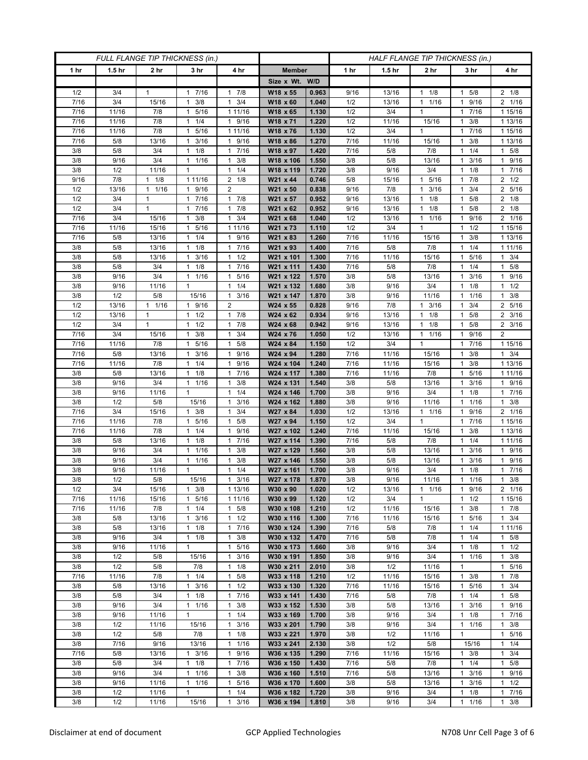| FULL FLANGE TIP THICKNESS (in.) |                   |                      |                                      |                                             | HALF FLANGE TIP THICKNESS (in.) |                |              |                   |                               |                                  |                                   |
|---------------------------------|-------------------|----------------------|--------------------------------------|---------------------------------------------|---------------------------------|----------------|--------------|-------------------|-------------------------------|----------------------------------|-----------------------------------|
| 1 hr                            | 1.5 <sub>hr</sub> | 2 <sub>hr</sub>      | 3 <sub>hr</sub>                      | 4 hr                                        | <b>Member</b>                   |                | 1 hr         | 1.5 <sub>hr</sub> | 2 <sub>hr</sub>               | 3 hr                             | 4 hr                              |
|                                 |                   |                      |                                      |                                             | Size x Wt. W/D                  |                |              |                   |                               |                                  |                                   |
| 1/2                             | 3/4               | 1                    | 7/16<br>1                            | 7/8<br>1                                    | W18 x 55                        | 0.963          | 9/16         | 13/16             | 1/8<br>$\mathbf{1}$           | 5/8                              | $2 \t1/8$                         |
| 7/16                            | 3/4               | 15/16                | 3/8<br>$\mathbf{1}$                  | 3/4<br>$\mathbf{1}$                         | W18 x 60                        | 1.040          | 1/2          | 13/16             | 1/16<br>$\mathbf{1}$          | 9/16<br>1                        | 2 1/16                            |
| 7/16                            | 11/16             | 7/8                  | 5/16<br>$\mathbf{1}$                 | 1 11/16                                     | W18 x 65                        | 1.130          | 1/2          | 3/4               | $\mathbf{1}$                  | 7/16<br>1.                       | 1 15/16                           |
| 7/16                            | 11/16             | 7/8                  | 1/4<br>1                             | 9/16<br>$\mathbf{1}$                        | W18 x 71                        | 1.220          | 1/2          | 11/16             | 15/16                         | 3/8<br>1                         | 1 13/16                           |
| 7/16                            | 11/16             | 7/8                  | 5/16<br>1                            | 1 11/16                                     | W18 x 76                        | 1.130          | 1/2          | 3/4               | $\mathbf{1}$                  | 7/16<br>1                        | 1 15/16                           |
| 7/16<br>3/8                     | 5/8<br>5/8        | 13/16<br>3/4         | 3/16<br>$\mathbf{1}$<br>1/8<br>1     | 9/16<br>$\mathbf{1}$<br>7/16<br>1           | W18 x 86                        | 1.270<br>1.420 | 7/16<br>7/16 | 11/16<br>5/8      | 15/16<br>7/8                  | 3/8<br>1<br>1/4                  | 1 13/16                           |
| 3/8                             | 9/16              | 3/4                  | 1/16<br>1                            | 3/8<br>1                                    | W18 x 97<br>W18 x 106           | 1.550          | 3/8          | 5/8               | 13/16                         | 1<br>3/16<br>1                   | $1 \t5/8$<br>1 9/16               |
| 3/8                             | 1/2               | 11/16                | $\mathbf{1}$                         | 1/4<br>$\mathbf{1}$                         | W18 x 119                       | 1.720          | 3/8          | 9/16              | 3/4                           | 1/8                              | 17/16                             |
| 9/16                            | 7/8               | $1 \t1/8$            | 1 11/16                              | $2 \t1/8$                                   | W21 x 44                        | 0.746          | 5/8          | 15/16             | 5/16<br>$\mathbf{1}$          | 7/8<br>1                         | $2 \frac{1}{2}$                   |
| 1/2                             | 13/16             | 1/16<br>$\mathbf{1}$ | 9/16<br>1                            | 2                                           | W21 x 50                        | 0.838          | 9/16         | 7/8               | 3/16<br>$\mathbf{1}$          | 3/4<br>1                         | 2 5/16                            |
| 1/2                             | 3/4               | 1                    | 7/16<br>$\mathbf{1}$                 | 7/8<br>1                                    | W21 x 57                        | 0.952          | 9/16         | 13/16             | 1/8<br>$\mathbf{1}$           | 5/8                              | $2 \t1/8$                         |
| 1/2                             | 3/4               | 1                    | 7/16<br>1                            | 7/8<br>1                                    | W21 x 62                        | 0.952          | 9/16         | 13/16             | 1/8<br>$\mathbf{1}$           | 5/8<br>1                         | $2 \t1/8$                         |
| 7/16                            | 3/4               | 15/16                | 3/8<br>1                             | 3/4<br>1                                    | W21 x 68                        | 1.040          | 1/2          | 13/16             | $\mathbf{1}$<br>1/16          | 9/16<br>1                        | 2 1/16                            |
| 7/16                            | 11/16             | 15/16                | 5/16<br>1                            | 1 11/16                                     | W21 x 73                        | 1.110          | 1/2          | 3/4               | $\mathbf{1}$                  | 1/2                              | 1 15/16                           |
| 7/16                            | 5/8               | 13/16                | 1/4<br>1                             | 9/16<br>$\mathbf{1}$                        | W21 x 83                        | 1.260          | 7/16         | 11/16             | 15/16                         | 3/8<br>1                         | 1 13/16                           |
| 3/8                             | 5/8               | 13/16                | 1/8<br>$\mathbf{1}$                  | 7/16<br>1                                   | W21 x 93                        | 1.400          | 7/16         | 5/8               | 7/8                           | 1/4<br>1                         | 1 11/16                           |
| 3/8                             | 5/8               | 13/16                | $1 \t3/16$                           | 1/2<br>1                                    | W21 x 101                       | 1.300          | 7/16         | 11/16             | 15/16                         | 1 5/16                           | $1 \t3/4$                         |
| 3/8                             | 5/8               | 3/4                  | $1 \t1/8$                            | 7/16<br>1                                   | W21 x 111                       | 1.430          | 7/16         | 5/8               | 7/8                           | 1/4<br>1.                        | $1 \t5/8$                         |
| 3/8<br>3/8                      | 9/16<br>9/16      | 3/4<br>11/16         | $\mathbf{1}$<br>1/16<br>$\mathbf{1}$ | 5/16<br>$\mathbf{1}$<br>1/4<br>$\mathbf{1}$ | W21 x 122<br>W21 x 132          | 1.570<br>1.680 | 3/8<br>3/8   | 5/8<br>9/16       | 13/16<br>3/4                  | 3/16<br>1<br>1/8<br>1            | 9/16<br>$\mathbf{1}$<br>$1 \t1/2$ |
| 3/8                             | 1/2               | 5/8                  | 15/16                                | 3/16<br>1                                   | W21 x 147                       | 1.870          | 3/8          | 9/16              | 11/16                         | 1 1/16                           | $1 \t3/8$                         |
| 1/2                             | 13/16             | 1/16<br>1            | 9/16<br>1                            | $\overline{2}$                              | W24 x 55                        | 0.828          | 9/16         | 7/8               | 3/16<br>$\mathbf{1}$          | 3/4                              | 2 5/16                            |
| 1/2                             | 13/16             | $\mathbf{1}$         | $1 \t1/2$                            | 7/8<br>$\mathbf{1}$                         | W24 x 62                        | 0.934          | 9/16         | 13/16             | 1/8<br>$\mathbf{1}$           | 5/8<br>1                         | $2 \frac{3}{16}$                  |
| 1/2                             | 3/4               | 1                    | $1 \t1/2$                            | 7/8<br>1                                    | W24 x 68                        | 0.942          | 9/16         | 13/16             | 1/8<br>1                      | 1 5/8                            | $2 \frac{3}{16}$                  |
| 7/16                            | 3/4               | 15/16                | 3/8<br>1                             | 3/4<br>1                                    | W24 x 76                        | 1.050          | 1/2          | 13/16             | 1/16<br>$\mathbf{1}$          | 9/16                             | 2                                 |
| 7/16                            | 11/16             | 7/8                  | 5/16<br>$\mathbf{1}$                 | 5/8<br>$\mathbf{1}$                         | W24 x 84                        | 1.150          | 1/2          | 3/4               | $\mathbf{1}$                  | $7/16$<br>1                      | 1 15/16                           |
| 7/16                            | 5/8               | 13/16                | 3/16<br>$\mathbf{1}$                 | 9/16<br>$\mathbf{1}$                        | W24 x 94                        | 1.280          | 7/16         | 11/16             | 15/16                         | 3/8<br>1.                        | $1 \t3/4$                         |
| 7/16                            | 11/16             | 7/8                  | 1/4<br>$\mathbf{1}$                  | 9/16<br>1                                   | W24 x 104                       | 1.240          | 7/16         | 11/16             | 15/16                         | 3/8<br>1                         | 1 13/16                           |
| 3/8                             | 5/8               | 13/16                | 1/8<br>1                             | 7/16<br>$\mathbf{1}$                        | W24 x 117                       | 1.380          | 7/16         | 11/16             | 7/8                           | 5/16<br>1                        | 1 1 1 / 16                        |
| 3/8                             | 9/16              | 3/4                  | 11/16                                | 3/8<br>$\mathbf{1}$                         | W24 x 131                       | 1.540          | 3/8          | 5/8               | 13/16                         | 3/16<br>1                        | 1 9/16                            |
| 3/8                             | 9/16              | 11/16                | 1                                    | 1/4<br>$\mathbf{1}$                         | W24 x 146                       | 1.700          | 3/8          | 9/16              | 3/4                           | 1/8<br>1                         | 17/16                             |
| 3/8<br>7/16                     | 1/2<br>3/4        | 5/8<br>15/16         | 15/16<br>3/8<br>1                    | 3/16<br>$\mathbf{1}$<br>3/4<br>$\mathbf{1}$ | W24 x 162<br>W27 x 84           | 1.880<br>1.030 | 3/8<br>1/2   | 9/16<br>13/16     | 11/16<br>1/16<br>$\mathbf{1}$ | 1/16<br>1<br>9/16                | $1 \t3/8$<br>2 1/16               |
| 7/16                            | 11/16             | 7/8                  | 5/16<br>1                            | $\mathbf{1}$<br>5/8                         | W27 x 94                        | 1.150          | 1/2          | 3/4               | $\mathbf{1}$                  | 7/16<br>1                        | 1 15/16                           |
| 7/16                            | 11/16             | 7/8                  | 1/4<br>1                             | 9/16<br>$\mathbf{1}$                        | W27 x 102                       | 1.240          | 7/16         | 11/16             | 15/16                         | 3/8<br>1                         | 1 13/16                           |
| 3/8                             | 5/8               | 13/16                | 1/8<br>1                             | 7/16<br>$\mathbf{1}$                        | W27 x 114                       | 1.390          | 7/16         | 5/8               | 7/8                           | 1/4                              | 1 11/16                           |
| 3/8                             | 9/16              | 3/4                  | 1/16<br>1                            | 3/8<br>$\mathbf{1}$                         | W27 x 129                       | 1.560          | 3/8          | 5/8               | 13/16                         | 3/16                             | 1 9/16                            |
| 3/8                             | 9/16              | 3/4                  | $\mathbf{1}$<br>1/16                 | 3/8<br>$\mathbf{1}$                         | W27 x 146                       | 1.550          | 3/8          | 5/8               | 13/16                         | 3/16<br>1                        | 1 9/16                            |
| 3/8                             | 9/16              | 11/16                | $\mathbf{1}$                         | 1/4<br>1                                    | W27 x 161                       | 1.700          | 3/8          | 9/16              | 3/4                           | 1/8                              | 17/16                             |
| 3/8                             | 1/2               | 5/8                  | 15/16                                | 3/16<br>$\mathbf{1}$                        | W27 x 178                       | 1.870          | 3/8          | 9/16              | 11/16                         | 1/16<br>1                        | 3/8<br>$\mathbf{1}$               |
| 1/2                             | 3/4               | 15/16                | $1 \t3/8$                            | 1 13/16                                     | W30 x 90                        | 1.020          | 1/2          | 13/16             | $1 \t1/16$                    | 1 9/16                           | $2 \t1/16$                        |
| 7/16                            | 11/16             | 15/16                | 1 5/16                               | 1 11/16                                     | W30 x 99                        | 1.120          | 1/2          | 3/4               | $\mathbf{1}$                  | $1 \t1/2$                        | 1 15/16                           |
| 7/16                            | 11/16             | 7/8                  | $1 \t1/4$                            | 5/8<br>$\mathbf{1}$                         | W30 x 108                       | 1.210          | 1/2          | 11/16             | 15/16                         | 3/8<br>1                         | $1 \t7/8$                         |
| 3/8<br>3/8                      | 5/8<br>5/8        | 13/16<br>13/16       | 3/16<br>$\mathbf{1}$<br>$1 \t1/8$    | 1/2<br>$\mathbf{1}$<br>$\mathbf{1}$<br>7/16 | W30 x 116<br>W30 x 124          | 1.300<br>1.390 | 7/16<br>7/16 | 11/16<br>5/8      | 15/16<br>7/8                  | 5/16<br>1<br>1/4<br>$\mathbf{1}$ | $1 \t3/4$<br>1 11/16              |
| 3/8                             | 9/16              | 3/4                  | $1 \t1/8$                            | 3/8<br>1                                    | W30 x 132                       | 1.470          | 7/16         | 5/8               | 7/8                           | $1 \t1/4$                        | $1 \t5/8$                         |
| 3/8                             | 9/16              | 11/16                | $\mathbf{1}$                         | 5/16<br>$\mathbf{1}$                        | W30 x 173                       | 1.660          | 3/8          | 9/16              | 3/4                           | 1/8<br>1                         | $1 \t1/2$                         |
| 3/8                             | 1/2               | 5/8                  | 15/16                                | 3/16<br>$\mathbf{1}$                        | W30 x 191                       | 1.850          | 3/8          | 9/16              | 3/4                           | 1/16<br>$\mathbf{1}$             | $1 \t3/8$                         |
| 3/8                             | 1/2               | 5/8                  | 7/8                                  | 1/8<br>1                                    | W30 x 211                       | 2.010          | 3/8          | 1/2               | 11/16                         | 1                                | 1 5/16                            |
| 7/16                            | 11/16             | 7/8                  | 1/4<br>1                             | 5/8<br>$\mathbf{1}$                         | W33 x 118                       | 1.210          | 1/2          | 11/16             | 15/16                         | 3/8<br>1                         | 17/8                              |
| 3/8                             | 5/8               | 13/16                | $\mathbf{1}$<br>3/16                 | $\mathbf{1}$<br>1/2                         | W33 x 130                       | 1.320          | 7/16         | 11/16             | 15/16                         | 5/16<br>$\mathbf{1}$             | $1 \t3/4$                         |
| 3/8                             | 5/8               | 3/4                  | $1 \t1/8$                            | 7/16<br>$\mathbf{1}$                        | W33 x 141                       | 1.430          | 7/16         | 5/8               | 7/8                           | $1 \t1/4$                        | $1 \t5/8$                         |
| 3/8                             | 9/16              | 3/4                  | $1 \t1/16$                           | 3/8<br>1                                    | W33 x 152                       | 1.530          | 3/8          | 5/8               | 13/16                         | 3/16<br>1                        | 1 9/16                            |
| 3/8                             | 9/16              | 11/16                | $\mathbf{1}$                         | 1/4<br>$\mathbf{1}$                         | W33 x 169                       | 1.700          | 3/8          | 9/16              | 3/4                           | 1/8<br>$\mathbf{1}$              | 17/16                             |
| 3/8                             | 1/2               | 11/16                | 15/16                                | 3/16<br>$\mathbf{1}$                        | W33 x 201                       | 1.790          | 3/8          | 9/16              | 3/4                           | 11/16                            | $1 \t3/8$                         |
| 3/8                             | 1/2               | 5/8                  | 7/8                                  | 1/8<br>$\mathbf{1}$                         | W33 x 221<br>W33 x 241          | 1.970<br>2.130 | 3/8<br>3/8   | 1/2<br>1/2        | 11/16<br>5/8                  | $\mathbf{1}$                     | 1 5/16<br>$1 \t1/4$               |
| 3/8<br>7/16                     | 7/16<br>5/8       | 9/16<br>13/16        | 13/16<br>$1 \t3/16$                  | 1/16<br>1<br>9/16<br>$\mathbf{1}$           | W36 x 135                       | 1.290          | 7/16         | 11/16             | 15/16                         | 15/16<br>$1 \t3/8$               | $1 \t3/4$                         |
| 3/8                             | 5/8               | 3/4                  | $1 \t1/8$                            | 7/16<br>$\mathbf{1}$                        | W36 x 150                       | 1.430          | 7/16         | 5/8               | 7/8                           | 1/4<br>$\mathbf{1}$              | 1 5/8                             |
| 3/8                             | 9/16              | 3/4                  | 1 1/16                               | $\mathbf{1}$<br>3/8                         | W36 x 160                       | 1.510          | 7/16         | 5/8               | 13/16                         | 3/16<br>$\mathbf{1}$             | 1 9/16                            |
| 3/8                             | 9/16              | 11/16                | 11/16                                | $\mathbf{1}$<br>5/16                        | W36 x 170                       | 1.600          | 3/8          | 5/8               | 13/16                         | 3/16<br>1                        | $1 \t1/2$                         |
| 3/8                             | 1/2               | 11/16                | 1                                    | 1/4<br>$\mathbf{1}$                         | W36 x 182                       | 1.720          | 3/8          | 9/16              | 3/4                           | 1/8<br>1                         | 17/16                             |
| 3/8                             | 1/2               | 11/16                | 15/16                                | 3/16<br>$\mathbf{1}$                        | W36 x 194                       | 1.810          | 3/8          | 9/16              | 3/4                           | 1/16<br>1                        | $1 \t3/8$                         |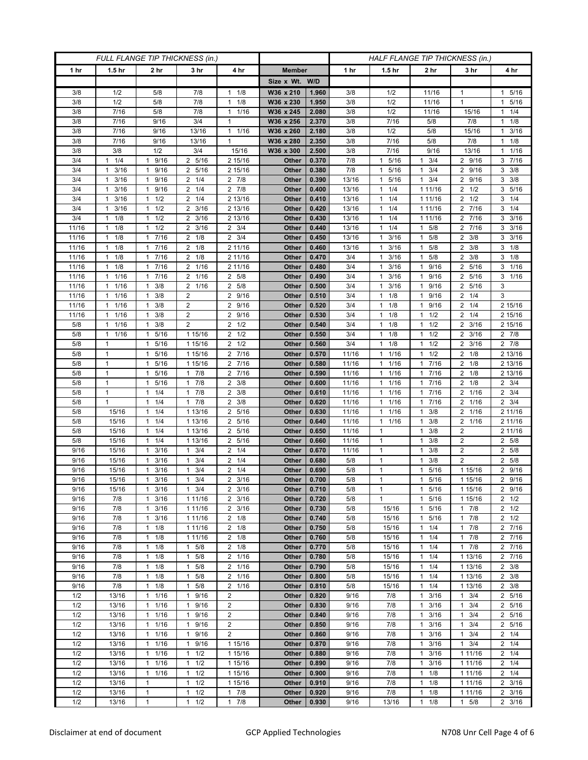| FULL FLANGE TIP THICKNESS (in.) |                                 |                                              |                                              |                                   |                | HALF FLANGE TIP THICKNESS (in.) |              |                                    |                                              |                                  |                                |
|---------------------------------|---------------------------------|----------------------------------------------|----------------------------------------------|-----------------------------------|----------------|---------------------------------|--------------|------------------------------------|----------------------------------------------|----------------------------------|--------------------------------|
| 1 hr                            | 1.5 <sub>hr</sub>               | 2 hr                                         | 3 hr                                         | 4 hr                              | <b>Member</b>  |                                 | 1 hr         | 1.5 <sub>hr</sub>                  | 2 hr                                         | 3 hr                             | 4 hr                           |
|                                 |                                 |                                              |                                              |                                   | Size x Wt. W/D |                                 |              |                                    |                                              |                                  |                                |
| 3/8                             | 1/2                             | 5/8                                          | 7/8                                          | 1/8<br>$\mathbf{1}$               | W36 x 210      | 1.960                           | 3/8          | 1/2                                | 11/16                                        | 1                                | 1 5/16                         |
| 3/8                             | 1/2                             | 5/8                                          | 7/8                                          | 1/8<br>1                          | W36 x 230      | 1.950                           | 3/8          | 1/2                                | 11/16                                        | $\mathbf{1}$                     | 5/16<br>1                      |
| 3/8                             | 7/16                            | 5/8                                          | 7/8                                          | 1/16<br>$\mathbf{1}$              | W36 x 245      | 2.080                           | 3/8          | 1/2                                | 11/16                                        | 15/16                            | $1 \t1/4$                      |
| 3/8                             | 7/16                            | 9/16                                         | 3/4                                          | 1                                 | W36 x 256      | 2.370                           | 3/8          | 7/16                               | 5/8                                          | 7/8                              | $1 \t1/8$                      |
| 3/8                             | 7/16                            | 9/16                                         | 13/16                                        | $\mathbf{1}$<br>1/16              | W36 x 260      | 2.180                           | 3/8          | 1/2                                | 5/8                                          | 15/16                            | $1 \t3/16$                     |
| 3/8                             | 7/16                            | 9/16                                         | 13/16                                        | $\mathbf{1}$                      | W36 x 280      | 2.350                           | 3/8          | 7/16                               | 5/8                                          | 7/8                              | $1 \t1/8$                      |
| 3/8                             | 3/8                             | 1/2                                          | 3/4                                          | 15/16                             | W36 x 300      | 2.500                           | 3/8          | 7/16                               | 9/16                                         | 13/16                            | 1/16<br>1                      |
| 3/4                             | 1/4<br>$\mathbf{1}$             | 9/16<br>1                                    | 2 5/16                                       | 2 15/16                           | Other          | 0.370                           | 7/8          | 5/16<br>$\mathbf{1}$               | 3/4<br>1                                     | 2 9/16                           | 3 7/16                         |
| 3/4                             | 3/16<br>1                       | 9/16<br>1                                    | 2 5/16                                       | 2 15/16                           | Other          | 0.380                           | 7/8          | 5/16<br>$\mathbf{1}$               | 3/4<br>$\mathbf{1}$                          | 2 9/16                           | $3 \frac{3}{8}$                |
| 3/4                             | 3/16<br>$\mathbf{1}$            | 9/16<br>$\mathbf{1}$                         | $2 \t1/4$                                    | $2 \t 7/8$                        | Other          | 0.390                           | 13/16        | 5/16<br>$\mathbf{1}$               | 3/4<br>$\mathbf{1}$                          | 2 9/16                           | $3 \frac{3}{8}$                |
| 3/4                             | 3/16<br>$\mathbf{1}$            | 9/16<br>$\mathbf{1}$                         | $2 \t1/4$                                    | $2 \t 7/8$                        | Other          | 0.400                           | 13/16        | 11/4                               | 1 11/16                                      | $2 \frac{1}{2}$                  | 3 5/16                         |
| 3/4                             | 3/16<br>$\mathbf{1}$            | 1/2<br>$\mathbf{1}$                          | $2 \t1/4$                                    | 2 13/16                           | Other          | 0.410                           | 13/16        | $1 \t1/4$                          | 1 11/16                                      | $2 \frac{1}{2}$                  | $3 \t1/4$                      |
| 3/4                             | 3/16<br>$\mathbf{1}$            | 1/2<br>1                                     | $2 \frac{3}{16}$                             | 2 13/16                           | Other          | 0.420                           | 13/16        | 1/4<br>$\mathbf{1}$                | 1 1 1/16                                     | 2 7/16                           | $3 \t1/4$                      |
| 3/4                             | 1/8<br>1                        | 1/2<br>$\mathbf{1}$                          | $2 \frac{3}{16}$                             | 2 13/16                           | Other          | 0.430                           | 13/16        | 1/4<br>$\mathbf{1}$                | 1 1 1 / 16                                   | $7/16$<br>2                      | 3/16<br>3                      |
| 11/16                           | 1/8<br>$\mathbf{1}$             | $1 \t1/2$                                    | $2 \frac{3}{16}$                             | $2 \frac{3}{4}$                   | Other          | 0.440                           | 13/16        | $1 \t1/4$                          | 5/8<br>1                                     | 2 7/16                           | $3 \frac{3}{16}$               |
| 11/16<br>11/16                  | 1/8<br>$\mathbf{1}$<br>1/8<br>1 | 17/16<br>7/16<br>1                           | $2 \t1/8$<br>$2 \t1/8$                       | $2 \frac{3}{4}$                   | Other<br>Other | 0.450<br>0.460                  | 13/16        | $1 \t3/16$<br>3/16<br>$\mathbf{1}$ | 5/8<br>$\mathbf{1}$<br>5/8<br>$\mathbf{1}$   | $2 \frac{3}{8}$<br>3/8<br>2      | $3 \frac{3}{16}$<br>$3 \t1/8$  |
|                                 | $\mathbf{1}$                    | 7/16                                         |                                              | 2 11/16                           |                |                                 | 13/16        | $\mathbf{1}$                       | 5/8                                          |                                  | $3 \t1/8$                      |
| 11/16<br>11/16                  | 1/8<br>$1 \t1/8$                | $\mathbf{1}$<br>17/16                        | $2 \t1/8$<br>2 1/16                          | 2 11/16<br>2 11/16                | Other<br>Other | 0.470<br>0.480                  | 3/4<br>3/4   | 3/16<br>$1 \t3/16$                 | $\mathbf{1}$<br>9/16<br>1                    | $2 \frac{3}{8}$<br>2 5/16        | $3 \t1/16$                     |
| 11/16                           | 1/16<br>1                       | 7/16<br>$\mathbf{1}$                         | 2 1/16                                       | 5/8<br>2                          | Other          | 0.490                           | 3/4          | 3/16<br>1                          | 9/16<br>-1                                   | 5/16<br>2                        | $3 \t1/16$                     |
| 11/16                           | 1/16<br>$\mathbf{1}$            | 3/8<br>$\mathbf{1}$                          | 2 1/16                                       | $\overline{2}$<br>5/8             | Other          | 0.500                           | 3/4          | 3/16<br>$\mathbf{1}$               | 9/16<br>$\mathbf{1}$                         | 5/16<br>2                        | 3                              |
| 11/16                           | 1/16<br>$\mathbf{1}$            | 3/8<br>$\mathbf{1}$                          | $\overline{2}$                               | 9/16<br>$\overline{2}$            | Other          | 0.510                           | 3/4          | $1 \t1/8$                          | 9/16<br>$\mathbf{1}$                         | $2 \t1/4$                        | 3                              |
| 11/16                           | 1/16<br>$\mathbf{1}$            | 3/8<br>$\mathbf{1}$                          | $\overline{2}$                               | 9/16<br>2                         | Other          | 0.520                           | 3/4          | 1/8<br>1                           | 9/16<br>$\mathbf{1}$                         | 1/4<br>2                         | 2 15/16                        |
| 11/16                           | 1/16<br>$\mathbf{1}$            | 3/8<br>$\mathbf{1}$                          | $\overline{2}$                               | $\overline{2}$<br>9/16            | Other          | 0.530                           | 3/4          | $1 \t1/8$                          | 1/2<br>$\mathbf{1}$                          | $2 \t1/4$                        | 2 15/16                        |
| 5/8                             | 1/16<br>$\mathbf{1}$            | $1 \t3/8$                                    | $\overline{2}$                               | $2 \frac{1}{2}$                   | Other          | 0.540                           | 3/4          | $1 \t1/8$                          | 1/2<br>$\mathbf{1}$                          | $2 \frac{3}{16}$                 | 2 15/16                        |
| 5/8                             | 1/16<br>$\mathbf{1}$            | 5/16<br>$\mathbf{1}$                         | 1 15/16                                      | 1/2<br>2                          | Other          | 0.550                           | 3/4          | 1/8<br>1                           | 1/2<br>$\mathbf{1}$                          | $2 \frac{3}{16}$                 | $2 \t 7/8$                     |
| 5/8                             | 1                               | 5/16<br>$\mathbf{1}$                         | 1 15/16                                      | 1/2<br>2                          | Other          | 0.560                           | 3/4          | 1/8<br>$\mathbf{1}$                | 1/2<br>$\mathbf{1}$                          | 3/16<br>2                        | $2 \t 7/8$                     |
| 5/8                             | $\mathbf{1}$                    | 5/16<br>$\mathbf{1}$                         | 1 15/16                                      | 2 7/16                            | Other          | 0.570                           | 11/16        | 11/16                              | 1/2<br>$\mathbf{1}$                          | $2 \t1/8$                        | 2 13/16                        |
| 5/8                             | $\mathbf{1}$                    | 5/16<br>$\mathbf{1}$                         | 1 15/16                                      | $\frac{1}{2}$ 7/16                | Other          | 0.580                           | 11/16        | $1 \t1/16$                         | 7/16<br>$\mathbf{1}$                         | $2 \t1/8$                        | 2 13/16                        |
| 5/8                             | $\mathbf{1}$                    | 5/16<br>$\mathbf{1}$                         | 17/8                                         | 7/16<br>$\overline{2}$            | Other          | 0.590                           | 11/16        | $1 \t1/16$                         | 7/16<br>$\mathbf{1}$                         | $2 \t1/8$                        | 2 13/16                        |
| 5/8                             | $\mathbf{1}$                    | 5/16<br>1                                    | 7/8<br>$\mathbf{1}$                          | $\overline{2}$<br>3/8             | Other          | 0.600                           | 11/16        | 1/16<br>$\mathbf{1}$               | 7/16<br>$\mathbf{1}$                         | $2 \t1/8$                        | $2 \frac{3}{4}$                |
| 5/8                             | 1                               | 1/4<br>1                                     | 7/8<br>$\mathbf{1}$                          | 3/8<br>2                          | Other          | 0.610                           | 11/16        | 1/16<br>1                          | 7/16<br>$\mathbf{1}$                         | 2 1/16                           | $2 \frac{3}{4}$                |
| 5/8                             | $\mathbf{1}$                    | 1/4<br>$\mathbf{1}$                          | $1 \t7/8$                                    | 3/8<br>2                          | Other          | 0.620                           | 11/16        | $1 \t1/16$                         | 7/16<br>$\mathbf{1}$                         | 2 1/16                           | $2 \frac{3}{4}$                |
| 5/8                             | 15/16                           | 1/4<br>$\mathbf{1}$                          | 1 13/16                                      | 5/16<br>2                         | Other          | 0.630                           | 11/16        | 1/16<br>$\mathbf{1}$               | 3/8<br>$\mathbf{1}$                          | 2 1/16                           | 2 11/16                        |
| 5/8                             | 15/16                           | 1/4<br>$\mathbf{1}$                          | 1 13/16                                      | 5/16<br>2                         | Other          | 0.640                           | 11/16        | 1/16<br>$\mathbf{1}$               | 3/8<br>$\mathbf{1}$                          | 2 1/16                           | 2 11/16                        |
| 5/8                             | 15/16                           | 1/4<br>$\mathbf{1}$                          | 1 13/16                                      | 5/16<br>2                         | Other          | 0.650                           | 11/16        | $\mathbf{1}$                       | 3/8<br>$\mathbf{1}$                          | $\overline{2}$                   | 2 11/16                        |
| 5/8                             | 15/16                           | 1/4<br>1                                     | 1 13/16                                      | 5/16<br>2                         | Other          | 0.660                           | 11/16        | $\mathbf{1}$                       | 3/8<br>$\mathbf{1}$                          | 2                                | 2 5/8                          |
| 9/16<br>9/16                    | 15/16<br>15/16                  | 3/16<br>$\mathbf{1}$<br>3/16<br>1            | 3/4<br>$\mathbf{1}$<br>3/4<br>1              | 1/4<br>2<br>$\overline{2}$<br>1/4 | Other<br>Other | 0.670<br>0.680                  | 11/16<br>5/8 | 1<br>$\mathbf{1}$                  | 3/8<br>$\mathbf{1}$<br>3/8<br>$\mathbf{1}$   | $\overline{2}$<br>$\overline{2}$ | 2 5/8<br>5/8<br>$\overline{2}$ |
| 9/16                            | 15/16                           | 3/16<br>$\mathbf{1}$                         | 3/4<br>$\mathbf{1}$                          | 1/4<br>2                          | Other          | 0.690                           | 5/8          | $\mathbf{1}$                       | 5/16<br>$\mathbf{1}$                         | 1 15/16                          | 2 9/16                         |
| 9/16                            | 15/16                           | 3/16<br>$\mathbf{1}$                         | 3/4<br>1                                     | 2<br>3/16                         | Other          | 0.700                           | 5/8          | $\mathbf{1}$                       | 5/16<br>$\mathbf{1}$                         | 1 15/16                          | 2 9/16                         |
| 9/16                            | 15/16                           | 3/16<br>$\mathbf{1}$                         | $1 \t3/4$                                    | $2 \frac{3}{16}$                  | Other          | 0.710                           | 5/8          | $\mathbf{1}$                       | 5/16<br>$\mathbf{1}$                         | 1 15/16                          | 2 9/16                         |
| 9/16                            | 7/8                             | 3/16<br>$\mathbf{1}$                         | 1 11/16                                      | $2 \frac{3}{16}$                  | Other          | 0.720                           | 5/8          | $\mathbf{1}$                       | 5/16<br>$\mathbf{1}$                         | 1 15/16                          | $2 \frac{1}{2}$                |
| 9/16                            | 7/8                             | $1 \t3/16$                                   | 1 11/16                                      | $2 \frac{3}{16}$                  | Other          | 0.730                           | 5/8          | 15/16                              | 5/16<br>$\mathbf{1}$                         | $1 \t7/8$                        | $2 \frac{1}{2}$                |
| 9/16                            | 7/8                             | 3/16<br>1                                    | 1 11/16                                      | $2 \t1/8$                         | Other          | 0.740                           | 5/8          | 15/16                              | 5/16<br>$\mathbf{1}$                         | 7/8<br>1                         | $2 \frac{1}{2}$                |
| 9/16                            | 7/8                             | 1/8<br>$\mathbf{1}$                          | 1 11/16                                      | $2 \t1/8$                         | Other          | 0.750                           | 5/8          | 15/16                              | 1/4<br>$\mathbf{1}$                          | $1 \t7/8$                        | 2 7/16                         |
| 9/16                            | 7/8                             | $1 \t1/8$                                    | 1 11/16                                      | $2 \t1/8$                         | Other          | 0.760                           | 5/8          | 15/16                              | 1/4<br>$\mathbf{1}$                          | 17/8                             | 2 7/16                         |
| 9/16                            | 7/8                             | 1/8<br>$\mathbf{1}$                          | $1 \t5/8$                                    | $2 \t1/8$                         | Other          | 0.770                           | 5/8          | 15/16                              | 1/4<br>$\mathbf{1}$                          | 17/8                             | 2 7/16                         |
| 9/16                            | 7/8                             | $\mathbf{1}$<br>1/8                          | $1 \t5/8$                                    | 2 1/16                            | Other          | 0.780                           | 5/8          | 15/16                              | 1/4<br>$\mathbf{1}$                          | 1 13/16                          | 2 7/16                         |
| 9/16                            | 7/8                             | $1 \t1/8$                                    | 5/8<br>$\mathbf{1}$                          | 2 1/16                            | Other          | 0.790                           | 5/8          | 15/16                              | $\mathbf{1}$<br>1/4                          | 1 13/16                          | $2 \frac{3}{8}$                |
| 9/16                            | 7/8                             | $1 \t1/8$                                    | 5/8<br>$\mathbf{1}$                          | 2 1/16                            | Other          | 0.800                           | 5/8          | 15/16                              | 1/4<br>$\mathbf{1}$                          | 1 13/16                          | $2 \frac{3}{8}$                |
| 9/16                            | 7/8                             | $1 \t1/8$                                    | 5/8<br>1                                     | 2 1/16                            | Other          | 0.810                           | 5/8          | 15/16                              | 1/4<br>$\mathbf{1}$                          | 1 13/16                          | $2 \frac{3}{8}$                |
| 1/2                             | 13/16                           | 11/16                                        | 9/16<br>$\mathbf{1}$                         | $\overline{2}$                    | Other          | 0.820                           | 9/16         | 7/8                                | 3/16<br>$\mathbf{1}$                         | $1 \t3/4$                        | 2 5/16                         |
| 1/2                             | 13/16                           | 11/16                                        | 1 9/16                                       | $\overline{2}$                    | Other          | 0.830                           | 9/16         | 7/8                                | 3/16<br>$\mathbf{1}$                         | 3/4<br>$\mathbf{1}$              | 2 5/16                         |
| 1/2                             | 13/16                           | 11/16                                        | 9/16<br>$\mathbf{1}$                         | $\overline{c}$                    | Other          | 0.840                           | 9/16         | 7/8                                | 3/16<br>$\mathbf{1}$                         | 3/4<br>$\mathbf{1}$              | 2 5/16                         |
| 1/2<br>1/2                      | 13/16<br>13/16                  | 1/16<br>$\mathbf{1}$<br>1/16<br>$\mathbf{1}$ | 9/16<br>$\mathbf{1}$<br>9/16<br>$\mathbf{1}$ | $\overline{c}$<br>$\overline{2}$  | Other<br>Other | 0.850<br>0.860                  | 9/16<br>9/16 | 7/8<br>7/8                         | 3/16<br>$\mathbf{1}$<br>3/16<br>$\mathbf{1}$ | 3/4<br>1<br>3/4<br>1             | 2 5/16<br>$2 \t1/4$            |
| 1/2                             | 13/16                           | 11/16                                        | 9/16<br>$\mathbf{1}$                         | 1 15/16                           | Other          | 0.870                           | 9/16         | 7/8                                | 3/16<br>$\mathbf{1}$                         | $1 \t3/4$                        | $2 \t1/4$                      |
| 1/2                             | 13/16                           | $1 \t1/16$                                   | $1 \t1/2$                                    | 1 15/16                           | Other          | 0.880                           | 9/16         | 7/8                                | $\mathbf{1}$<br>3/16                         | 1 1 1 / 1 6                      | $2 \t1/4$                      |
| 1/2                             | 13/16                           | 1/16<br>$\mathbf{1}$                         | $1 \t1/2$                                    | 1 15/16                           | Other          | 0.890                           | 9/16         | 7/8                                | 3/16<br>$\mathbf{1}$                         | 1 1 1 / 16                       | $2 \t1/4$                      |
| 1/2                             | 13/16                           | 11/16                                        | $1 \t1/2$                                    | 1 15/16                           | Other          | 0.900                           | 9/16         | 7/8                                | 1/8<br>$\mathbf{1}$                          | 1 11/16                          | $2 \t1/4$                      |
| 1/2                             | 13/16                           | 1                                            | 1/2<br>$\mathbf{1}$                          | 1 15/16                           | Other          | 0.910                           | 9/16         | 7/8                                | 1/8<br>$\mathbf{1}$                          | 1 1 1 / 1 6                      | $2 \frac{3}{16}$               |
| 1/2                             | 13/16                           | 1                                            | 1/2<br>$\mathbf{1}$                          | 7/8<br>$\mathbf{1}$               | Other          | 0.920                           | 9/16         | 7/8                                | 1/8<br>$\mathbf{1}$                          | 1 1 1 / 1 6                      | $2 \frac{3}{16}$               |
| 1/2                             | 13/16                           | $\mathbf{1}$                                 | 1/2<br>$\mathbf{1}$                          | $\mathbf{1}$<br>7/8               | Other          | 0.930                           | 9/16         | 13/16                              | 1/8<br>$\mathbf{1}$                          | $1 \t5/8$                        | $2 \frac{3}{16}$               |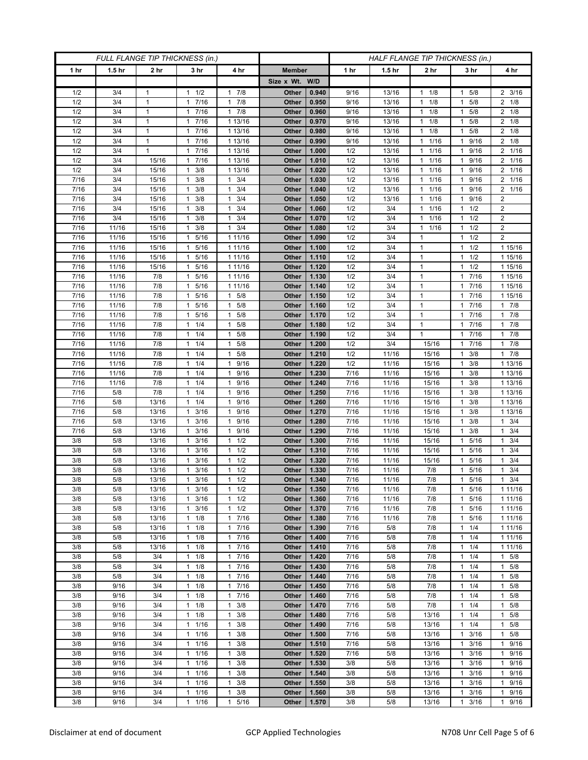| FULL FLANGE TIP THICKNESS (in.) |                   |                 |                                    |                                     | HALF FLANGE TIP THICKNESS (in.) |                |              |                   |                                              |                           |                          |
|---------------------------------|-------------------|-----------------|------------------------------------|-------------------------------------|---------------------------------|----------------|--------------|-------------------|----------------------------------------------|---------------------------|--------------------------|
| 1 hr                            | 1.5 <sub>hr</sub> | 2 <sub>hr</sub> | 3 <sub>hr</sub>                    | 4 hr                                | <b>Member</b>                   |                | 1 hr         | 1.5 <sub>hr</sub> | 2 <sub>hr</sub>                              | 3 hr                      | 4 hr                     |
|                                 |                   |                 |                                    |                                     | Size x Wt. W/D                  |                |              |                   |                                              |                           |                          |
| 1/2                             | 3/4               | 1               | 1/2<br>1                           | 7/8<br>1                            | Other                           | 0.940          | 9/16         | 13/16             | 1/8<br>$\mathbf{1}$                          | 5/8                       | $2 \frac{3}{16}$         |
| 1/2                             | 3/4               | $\mathbf{1}$    | 7/16<br>$\mathbf{1}$               | 7/8<br>$\mathbf{1}$                 | Other                           | 0.950          | 9/16         | 13/16             | 1/8<br>$\mathbf{1}$                          | 5/8<br>1                  | $2 \t1/8$                |
| 1/2                             | 3/4               | $\mathbf{1}$    | 17/16                              | 7/8<br>$\mathbf{1}$                 | Other                           | 0.960          | 9/16         | 13/16             | 1/8<br>$\mathbf{1}$                          | 5/8<br>1                  | $2 \t1/8$                |
| 1/2                             | 3/4               | $\mathbf{1}$    | 7/16<br>1                          | 1 13/16                             | Other                           | 0.970          | 9/16         | 13/16             | 1/8<br>$\mathbf{1}$                          | 5/8<br>1                  | $2 \t1/8$                |
| 1/2                             | 3/4               | $\mathbf{1}$    | 7/16<br>1                          | 1 13/16                             | Other                           | 0.980          | 9/16         | 13/16             | 1/8<br>$\mathbf{1}$                          | 5/8<br>1                  | $2 \t1/8$                |
| 1/2                             | 3/4               | $\mathbf{1}$    | 7/16<br>$\mathbf{1}$               | 1 13/16                             | Other                           | 0.990          | 9/16         | 13/16             | 1/16<br>$\mathbf{1}$                         | 9/16<br>1                 | $2 \t1/8$                |
| 1/2                             | 3/4               | 1               | 7/16<br>1                          | 1 13/16                             | Other                           | 1.000          | 1/2          | 13/16             | 1/16<br>$\mathbf{1}$                         | 9/16<br>1                 | 2 1/16                   |
| 1/2                             | 3/4               | 15/16           | 7/16<br>1                          | 1 13/16                             | Other                           | 1.010          | 1/2          | 13/16             | 1/16<br>$\mathbf{1}$                         | 9/16<br>1                 | 2 1/16                   |
| 1/2                             | 3/4               | 15/16           | 3/8<br>1                           | 1 13/16                             | Other                           | 1.020          | 1/2          | 13/16             | 1/16<br>$\mathbf{1}$                         | 9/16                      | 2 1/16                   |
| 7/16<br>7/16                    | 3/4<br>3/4        | 15/16           | 3/8<br>1                           | 3/4<br>$\mathbf{1}$<br>3/4          | Other                           | 1.030          | 1/2          | 13/16             | 1/16<br>$\mathbf{1}$                         | 9/16<br>1                 | 2 1/16<br>2 1/16         |
| 7/16                            | 3/4               | 15/16<br>15/16  | 3/8<br>-1<br>3/8<br>1              | $\mathbf{1}$<br>3/4<br>1            | Other<br>Other                  | 1.040<br>1.050 | 1/2<br>1/2   | 13/16<br>13/16    | 1/16<br>$\mathbf{1}$<br>1/16<br>$\mathbf{1}$ | 9/16<br>1<br>9/16         | $\overline{c}$           |
| 7/16                            | 3/4               | 15/16           | 3/8<br>1                           | 3/4<br>1                            | Other                           | 1.060          | 1/2          | 3/4               | 1/16<br>$\mathbf{1}$                         | 1/2<br>1                  | $\overline{2}$           |
| 7/16                            | 3/4               | 15/16           | 3/8<br>1                           | 3/4<br>1                            | Other                           | 1.070          | 1/2          | 3/4               | 1/16<br>$\mathbf{1}$                         | 1/2<br>1                  | $\overline{c}$           |
| 7/16                            | 11/16             | 15/16           | 3/8<br>1                           | 3/4<br>1                            | Other                           | 1.080          | 1/2          | 3/4               | 1/16<br>$\mathbf{1}$                         | 1/2                       | $\overline{2}$           |
| 7/16                            | 11/16             | 15/16           | 5/16<br>1                          | 1 11/16                             | Other                           | 1.090          | 1/2          | 3/4               | $\mathbf{1}$                                 | 1/2<br>1                  | $\overline{2}$           |
| 7/16                            | 11/16             | 15/16           | 5/16<br>$\mathbf{1}$               | 1 11/16                             | Other                           | 1.100          | 1/2          | 3/4               | $\mathbf{1}$                                 | 1/2<br>1                  | 1 15/16                  |
| 7/16                            | 11/16             | 15/16           | 1 5/16                             | 1 11/16                             | Other                           | 1.110          | 1/2          | 3/4               | $\mathbf{1}$                                 | $1 \t1/2$                 | 1 15/16                  |
| 7/16                            | 11/16             | 15/16           | 5/16<br>1                          | 1 11/16                             | Other                           | 1.120          | 1/2          | 3/4               | $\mathbf{1}$                                 | 1/2<br>1                  | 1 15/16                  |
| 7/16                            | 11/16             | 7/8             | 5/16<br>1                          | 1 11/16                             | Other                           | 1.130          | 1/2          | 3/4               | $\mathbf{1}$                                 | 7/16<br>1                 | 1 15/16                  |
| 7/16                            | 11/16             | 7/8             | 5/16<br>$\mathbf{1}$               | 1 11/16                             | Other                           | 1.140          | 1/2          | 3/4               | $\mathbf{1}$                                 | 7/16<br>1                 | 1 15/16                  |
| 7/16                            | 11/16             | 7/8             | 5/16<br>$\mathbf{1}$               | 5/8<br>1                            | Other                           | 1.150          | 1/2          | 3/4               | $\mathbf{1}$                                 | 1 7/16                    | 1 15/16                  |
| 7/16                            | 11/16             | 7/8             | 5/16<br>1                          | 5/8<br>$\mathbf{1}$                 | Other                           | 1.160          | 1/2          | 3/4               | $\mathbf{1}$                                 | 7/16                      | 17/8                     |
| 7/16                            | 11/16             | 7/8             | 5/16<br>$\mathbf{1}$               | 5/8<br>1                            | <b>Other</b>                    | 1.170          | 1/2          | 3/4               | $\mathbf{1}$                                 | 7/16<br>1                 | $1 \t7/8$                |
| 7/16                            | 11/16             | 7/8             | $1 \t1/4$                          | 5/8<br>1                            | Other                           | 1.180          | 1/2          | 3/4               | $\mathbf{1}$                                 | 1 7/16                    | 17/8                     |
| 7/16                            | 11/16             | 7/8             | 1/4<br>1                           | 5/8<br>1                            | Other                           | 1.190          | 1/2          | 3/4               | $\mathbf{1}$                                 | 7/16<br>1                 | 17/8                     |
| 7/16                            | 11/16             | 7/8             | 1/4<br>$\mathbf{1}$                | 5/8<br>$\mathbf{1}$                 | <b>Other</b>                    | 1.200          | 1/2          | 3/4               | 15/16                                        | $7/16$<br>1               | 17/8                     |
| 7/16<br>7/16                    | 11/16<br>11/16    | 7/8<br>7/8      | $1 \t1/4$<br>1/4<br>1              | $\mathbf{1}$<br>5/8<br>9/16<br>1    | Other<br>Other                  | 1.210<br>1.220 | 1/2<br>1/2   | 11/16<br>11/16    | 15/16<br>15/16                               | 3/8<br>1.<br>3/8<br>1     | 17/8<br>1 13/16          |
| 7/16                            | 11/16             | 7/8             | 1/4<br>$\mathbf{1}$                | 9/16<br>$\mathbf{1}$                | Other                           | 1.230          | 7/16         | 11/16             | 15/16                                        | 3/8<br>1                  | 1 13/16                  |
| 7/16                            | 11/16             | 7/8             | 1/4<br>$\mathbf{1}$                | 9/16<br>$\mathbf{1}$                | Other                           | 1.240          | 7/16         | 11/16             | 15/16                                        | 3/8<br>1                  | 1 13/16                  |
| 7/16                            | 5/8               | 7/8             | 1/4<br>1                           | 9/16<br>$\mathbf{1}$                | Other                           | 1.250          | 7/16         | 11/16             | 15/16                                        | 3/8<br>1                  | 1 13/16                  |
| 7/16                            | 5/8               | 13/16           | 1/4<br>1                           | 9/16<br>$\mathbf{1}$                | Other                           | 1.260          | 7/16         | 11/16             | 15/16                                        | 3/8<br>1                  | 1 13/16                  |
| 7/16                            | 5/8               | 13/16           | 3/16<br>1                          | 9/16<br>1                           | Other                           | 1.270          | 7/16         | 11/16             | 15/16                                        | 3/8                       | 1 13/16                  |
| 7/16                            | 5/8               | 13/16           | 3/16<br>1                          | 9/16<br>$\mathbf{1}$                | Other                           | 1.280          | 7/16         | 11/16             | 15/16                                        | 3/8<br>1                  | $1 \t3/4$                |
| 7/16                            | 5/8               | 13/16           | 3/16<br>$\mathbf{1}$               | 9/16<br>$\mathbf{1}$                | Other                           | 1.290          | 7/16         | 11/16             | 15/16                                        | 3/8<br>1                  | $1 \t3/4$                |
| 3/8                             | 5/8               | 13/16           | 3/16<br>1                          | 1/2<br>$\mathbf{1}$                 | Other                           | 1.300          | 7/16         | 11/16             | 15/16                                        | 5/16                      | 3/4<br>$\mathbf{1}$      |
| 3/8                             | 5/8               | 13/16           | 3/16<br>-1                         | 1/2<br>$\mathbf{1}$                 | Other                           | 1.310          | 7/16         | 11/16             | 15/16                                        | 5/16                      | 3/4<br>1                 |
| 3/8                             | 5/8               | 13/16           | 3/16<br>$\mathbf{1}$               | 1/2<br>1                            | Other                           | 1.320          | 7/16         | 11/16             | 15/16                                        | 5/16<br>1                 | $1 \t3/4$                |
| 3/8                             | 5/8               | 13/16           | 3/16<br>1                          | 1/2<br>1                            | Other                           | 1.330          | 7/16         | 11/16             | 7/8                                          | 5/16                      | 3/4<br>$\mathbf{1}$      |
| 3/8                             | 5/8               | 13/16           | 3/16<br>$\mathbf{1}$               | 1/2<br>$\mathbf{1}$                 | Other                           | 1.340          | 7/16         | 11/16             | 7/8                                          | 5/16<br>$\mathbf{1}$      | 3/4<br>$\mathbf{1}$      |
| 3/8                             | 5/8               | 13/16           | $1 \t3/16$                         | 1/2<br>$\mathbf{1}$<br>$\mathbf{1}$ | Other                           | 1.350          | 7/16         | 11/16             | 7/8                                          | 5/16<br>$\mathbf{1}$<br>1 | 1 1 1 / 1 6              |
| 3/8<br>3/8                      | 5/8<br>5/8        | 13/16<br>13/16  | $1 \t3/16$<br>3/16<br>$\mathbf{1}$ | 1/2<br>1/2<br>1                     | Other<br>Other                  | 1.360<br>1.370 | 7/16<br>7/16 | 11/16<br>11/16    | 7/8<br>7/8                                   | 5/16<br>5/16<br>1         | 1 1 1 / 16<br>1 1 1 / 16 |
| 3/8                             | 5/8               | 13/16           | 1/8<br>$\mathbf{1}$                | 7/16<br>$\mathbf{1}$                | Other                           | 1.380          | 7/16         | 11/16             | 7/8                                          | 5/16<br>1                 | 1 1 1 / 16               |
| 3/8                             | 5/8               | 13/16           | $1 \t1/8$                          | 7/16<br>$\mathbf{1}$                | Other                           | 1.390          | 7/16         | 5/8               | 7/8                                          | 1/4<br>1                  | 1 11/16                  |
| 3/8                             | 5/8               | 13/16           | $1 \t1/8$                          | 7/16<br>1                           | Other                           | 1.400          | 7/16         | 5/8               | 7/8                                          | $1 \t1/4$                 | 1 11/16                  |
| 3/8                             | 5/8               | 13/16           | 1/8<br>1                           | 7/16<br>$\mathbf{1}$                | Other                           | 1.410          | 7/16         | 5/8               | 7/8                                          | 1/4                       | 1 11/16                  |
| 3/8                             | 5/8               | 3/4             | $1 \t1/8$                          | 7/16<br>$\mathbf{1}$                | Other                           | 1.420          | 7/16         | 5/8               | 7/8                                          | 1/4<br>$\mathbf{1}$       | $1 \t5/8$                |
| 3/8                             | 5/8               | 3/4             | $1 \t1/8$                          | 7/16<br>1                           | Other                           | 1.430          | 7/16         | 5/8               | 7/8                                          | $1 \t1/4$                 | $1 \t5/8$                |
| 3/8                             | 5/8               | 3/4             | 1/8<br>1                           | 7/16<br>$\mathbf{1}$                | Other                           | 1.440          | 7/16         | 5/8               | 7/8                                          | 1/4<br>1                  | $1 \t5/8$                |
| 3/8                             | 9/16              | 3/4             | $1 \t1/8$                          | 7/16<br>$\mathbf{1}$                | Other                           | 1.450          | 7/16         | 5/8               | 7/8                                          | 1/4<br>$\mathbf{1}$       | 1 5/8                    |
| 3/8                             | 9/16              | 3/4             | $1 \t1/8$                          | 7/16<br>$\mathbf{1}$                | Other                           | 1.460          | 7/16         | 5/8               | 7/8                                          | $1 \t1/4$                 | 1 5/8                    |
| 3/8                             | 9/16              | 3/4             | 1/8<br>1                           | 3/8<br>$\mathbf{1}$                 | Other                           | 1.470          | 7/16         | 5/8               | 7/8                                          | 1/4<br>1                  | $1 \t5/8$                |
| 3/8                             | 9/16              | 3/4             | 1/8<br>1                           | 3/8<br>$\mathbf{1}$                 | Other                           | 1.480          | 7/16         | 5/8               | 13/16                                        | 1/4<br>1                  | 1 5/8                    |
| 3/8                             | 9/16              | 3/4             | $\mathbf{1}$<br>1/16               | 3/8<br>$\mathbf{1}$                 | Other                           | 1.490          | 7/16         | 5/8               | 13/16                                        | $1 \t1/4$                 | 1 5/8                    |
| 3/8                             | 9/16              | 3/4             | 1/16<br>$\mathbf{1}$               | 3/8<br>1                            | Other                           | 1.500          | 7/16         | 5/8               | 13/16                                        | 3/16<br>$\mathbf{1}$      | 1 5/8                    |
| 3/8                             | 9/16              | 3/4             | $\mathbf{1}$<br>1/16               | 3/8<br>1                            | Other                           | 1.510          | 7/16         | 5/8               | 13/16                                        | 3/16<br>1                 | 1 9/16                   |
| 3/8<br>3/8                      | 9/16<br>9/16      | 3/4<br>3/4      | 11/16<br>1/16<br>$\mathbf{1}$      | $\mathbf{1}$<br>3/8<br>3/8<br>1     | Other<br>Other                  | 1.520<br>1.530 | 7/16<br>3/8  | 5/8<br>5/8        | 13/16<br>13/16                               | 3/16<br>1<br>3/16<br>1    | 1 9/16<br>1 9/16         |
| 3/8                             | 9/16              | 3/4             | 1/16<br>$\mathbf{1}$               | 3/8<br>1                            | Other                           | 1.540          | 3/8          | 5/8               | 13/16                                        | 3/16<br>1                 | 1 9/16                   |
| 3/8                             | 9/16              | 3/4             | $\mathbf{1}$<br>1/16               | 3/8<br>1                            | Other                           | 1.550          | 3/8          | 5/8               | 13/16                                        | 3/16<br>1                 | 1 9/16                   |
| 3/8                             | 9/16              | 3/4             | 1/16<br>$\mathbf{1}$               | 3/8<br>1                            | Other                           | 1.560          | 3/8          | 5/8               | 13/16                                        | 3/16<br>1                 | 1 9/16                   |
| 3/8                             | 9/16              | 3/4             | $\mathbf{1}$<br>1/16               | $5/16$<br>$\mathbf{1}$              | Other                           | 1.570          | 3/8          | 5/8               | 13/16                                        | 3/16<br>1                 | 1 9/16                   |
|                                 |                   |                 |                                    |                                     |                                 |                |              |                   |                                              |                           |                          |